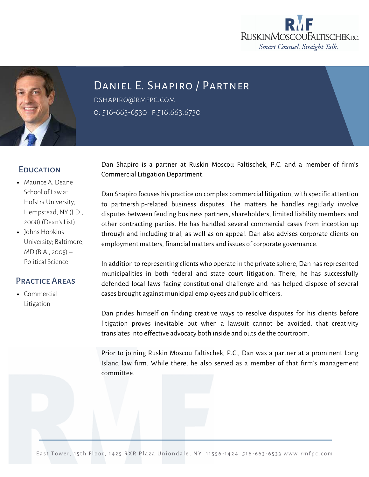



# Daniel E. Shapiro / Partner

dshapiro@rmfpc.com 0: 516-663-6530 f:516.663.6730

### **EDUCATION**

- Maurice A. Deane School of Law at Hofstra University; Hempstead, NY (J.D., 2008) (Dean's List)
- Johns Hopkins University; Baltimore, MD (B.A., 2005) – Political Science

## Practice Areas

• [Commercial](https://rmfpc.com/practice-areas/cybersecurity/) Litigation

Dan Shapiro is a partner at Ruskin Moscou Faltischek, P.C. and a member of firm's Commercial Litigation Department.

Dan Shapiro focuses his practice on complex commercial litigation, with specific attention to partnership-related business disputes. The matters he handles regularly involve disputes between feuding business partners, shareholders, limited liability members and other contracting parties. He has handled several commercial cases from inception up through and including trial, as well as on appeal. Dan also advises corporate clients on employment matters, financial matters and issues of corporate governance.

In addition to representing clients who operate in the private sphere, Dan has represented municipalities in both federal and state court litigation. There, he has successfully defended local laws facing constitutional challenge and has helped dispose of several cases brought against municipal employees and public officers.

Dan prides himself on finding creative ways to resolve disputes for his clients before litigation proves inevitable but when a lawsuit cannot be avoided, that creativity translates into effective advocacy both inside and outside the courtroom.

Prior to joining Ruskin Moscou Faltischek, P.C., Dan was a partner at a prominent Long Island law firm. While there, he also served as a member of that firm's management committee.